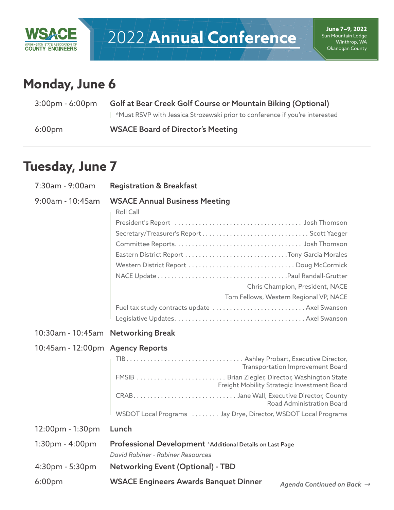

# **Monday, June 6**

| $3:00 \text{pm} - 6:00 \text{pm}$ | Golf at Bear Creek Golf Course or Mountain Biking (Optional)                |  |
|-----------------------------------|-----------------------------------------------------------------------------|--|
|                                   | *Must RSVP with Jessica Strozewski prior to conference if you're interested |  |
| 6:00 <sub>pm</sub>                | <b>WSACE Board of Director's Meeting</b>                                    |  |

# **Tuesday, June 7**

| 7:30am - 9:00am                      | <b>Registration &amp; Breakfast</b>                                                                                                                                                                                                                                                              |
|--------------------------------------|--------------------------------------------------------------------------------------------------------------------------------------------------------------------------------------------------------------------------------------------------------------------------------------------------|
| 9:00am - 10:45am                     | <b>WSACE Annual Business Meeting</b><br>Roll Call<br>President's Report (all contained all contained and all contained and all president's Report (all contained a<br>Chris Champion, President, NACE<br>Tom Fellows, Western Regional VP, NACE<br>Fuel tax study contracts update  Axel Swanson |
| 10:30am - 10:45am Networking Break   |                                                                                                                                                                                                                                                                                                  |
| 10:45am - 12:00pm Agency Reports     | Transportation Improvement Board<br>FMSIB  Brian Ziegler, Director, Washington State<br>Freight Mobility Strategic Investment Board<br>Road Administration Board<br>WSDOT Local Programs  Jay Drye, Director, WSDOT Local Programs                                                               |
| 12:00pm - 1:30pm                     | Lunch                                                                                                                                                                                                                                                                                            |
| $1:30pm - 4:00pm$<br>4:30pm - 5:30pm | Professional Development *Additional Details on Last Page<br>David Rabiner - Rabiner Resources<br><b>Networking Event (Optional) - TBD</b>                                                                                                                                                       |
| 6:00 <sub>pm</sub>                   | <b>WSACE Engineers Awards Banquet Dinner</b><br>Agenda Continued on Back →                                                                                                                                                                                                                       |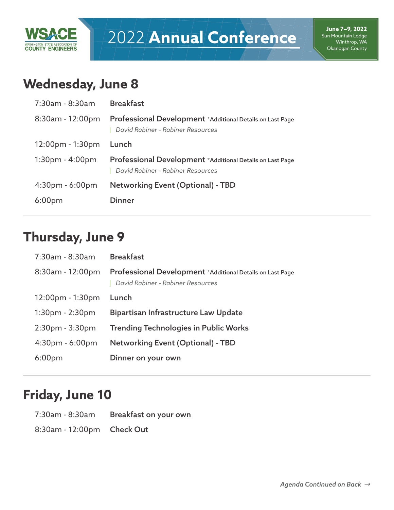

# 2022 **Annual Conference**

# **Wednesday, June 8**

| $7:30$ am - 8:30am                 | <b>Breakfast</b>                                                                                      |
|------------------------------------|-------------------------------------------------------------------------------------------------------|
| $8:30$ am - 12:00pm                | Professional Development *Additional Details on Last Page<br>David Rabiner - Rabiner Resources        |
| $12:00 \text{pm} - 1:30 \text{pm}$ | Lunch                                                                                                 |
| $1:30pm - 4:00pm$                  | <b>Professional Development</b> *Additional Details on Last Page<br>David Rabiner - Rabiner Resources |
| $4:30pm - 6:00pm$                  | <b>Networking Event (Optional) - TBD</b>                                                              |
| 6:00 <sub>pm</sub>                 | <b>Dinner</b>                                                                                         |

### **Thursday, June 9**

| 7:30am - 8:30am     | <b>Breakfast</b>                                                                               |
|---------------------|------------------------------------------------------------------------------------------------|
| $8:30am - 12:00pm$  | Professional Development *Additional Details on Last Page<br>David Rabiner - Rabiner Resources |
| $12:00$ pm - 1:30pm | Lunch                                                                                          |
| $1:30pm - 2:30pm$   | Bipartisan Infrastructure Law Update                                                           |
| $2:30pm - 3:30pm$   | <b>Trending Technologies in Public Works</b>                                                   |
| $4:30pm - 6:00pm$   | <b>Networking Event (Optional) - TBD</b>                                                       |
| 6:00 <sub>pm</sub>  | Dinner on your own                                                                             |

## **Friday, June 10**

| 7:30am - 8:30am            | Breakfast on your own |
|----------------------------|-----------------------|
| 8:30am - 12:00pm Check Out |                       |